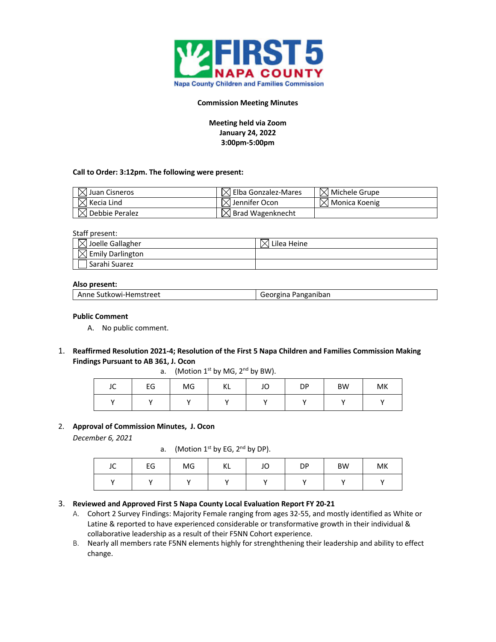

### **Commission Meeting Minutes**

**Meeting held via Zoom January 24, 2022 3:00pm-5:00pm**

#### **Call to Order: 3:12pm. The following were present:**

| $\boxtimes$ Juan Cisneros  | $\boxtimes$ Elba Gonzalez-Mares | $\boxtimes$ Michele Grupe |
|----------------------------|---------------------------------|---------------------------|
| $\boxtimes$ Kecia Lind     | $\bowtie$ Jennifer Ocon         | $\boxtimes$ Monica Koenig |
| $\boxtimes$ Debbie Peralez | $\boxtimes$ Brad Wagenknecht    |                           |

#### Staff present:

| $\boxtimes$ Joelle Gallagher | Lilea Heine |
|------------------------------|-------------|
| $\times$ Emily Darlington    |             |
| Sarahi Suarez                |             |

#### **Also present:**

| Anne Sutkowi-Hemstreet | Georgina Panganiban |
|------------------------|---------------------|
|------------------------|---------------------|

#### **Public Comment**

- A. No public comment.
- 1. **Reaffirmed Resolution 2021-4; Resolution of the First 5 Napa Children and Families Commission Making Findings Pursuant to AB 361, J. Ocon**

a. (Motion  $1^{st}$  by MG,  $2^{nd}$  by BW).

| $\overline{\phantom{a}}$<br>ے ر | EG | MG | K1<br>17 F | JO | DP.<br>ັ | <b>BW</b> | MK |
|---------------------------------|----|----|------------|----|----------|-----------|----|
|                                 |    |    |            |    |          |           |    |

#### 2. **Approval of Commission Minutes, J. Ocon**

*December 6, 2021*

a. (Motion  $1^{st}$  by EG,  $2^{nd}$  by DP).

| $\sqrt{ }$<br>JU | EG | MG | $\mathcal{U}$<br>NL. | JO | DP | <b>BW</b> | MK |
|------------------|----|----|----------------------|----|----|-----------|----|
|                  |    |    |                      |    |    |           |    |

## 3. **Reviewed and Approved First 5 Napa County Local Evaluation Report FY 20-21**

- A. Cohort 2 Survey Findings: Majority Female ranging from ages 32-55, and mostly identified as White or Latine & reported to have experienced considerable or transformative growth in their individual & collaborative leadership as a result of their F5NN Cohort experience.
- B. Nearly all members rate F5NN elements highly for strenghthening their leadership and ability to effect change.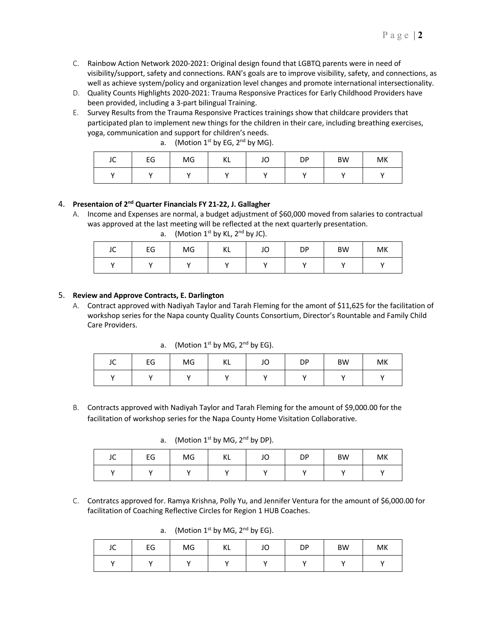- C. Rainbow Action Network 2020-2021: Original design found that LGBTQ parents were in need of visibility/support, safety and connections. RAN's goals are to improve visibility, safety, and connections, as well as achieve system/policy and organization level changes and promote international intersectionality.
- D. Quality Counts Highlights 2020-2021: Trauma Responsive Practices for Early Childhood Providers have been provided, including a 3-part bilingual Training.
- E. Survey Results from the Trauma Responsive Practices trainings show that childcare providers that participated plan to implement new things for the children in their care, including breathing exercises, yoga, communication and support for children's needs.

| $\sim$<br>JU | EG | MG | VI.<br>nь | JO | DP | <b>BW</b> | MK |
|--------------|----|----|-----------|----|----|-----------|----|
|              |    |    |           |    |    |           |    |

# a. (Motion  $1^{st}$  by EG,  $2^{nd}$  by MG).

## 4. **Presentaion of 2nd Quarter Financials FY 21-22, J. Gallagher**

A. Income and Expenses are normal, a budget adjustment of \$60,000 moved from salaries to contractual was approved at the last meeting will be reflected at the next quarterly presentation. a. (Motion  $1^{st}$  by KL,  $2^{nd}$  by JC).

| $\sim$<br>JU | EG | MG      | $\mathcal{U}$<br>NL. | JU | DP | <b>BW</b> | МK |
|--------------|----|---------|----------------------|----|----|-----------|----|
|              |    | $\cdot$ |                      |    |    |           |    |

# 5. **Review and Approve Contracts, E. Darlington**

A. Contract approved with Nadiyah Taylor and Tarah Fleming for the amont of \$11,625 for the facilitation of workshop series for the Napa county Quality Counts Consortium, Director's Rountable and Family Child Care Providers.

a. (Motion  $1^{st}$  by MG,  $2^{nd}$  by EG).

| JC | EG | MG | ΚL | JO | DP | BW | MK |
|----|----|----|----|----|----|----|----|
|    |    |    |    |    |    |    |    |

B. Contracts approved with Nadiyah Taylor and Tarah Fleming for the amount of \$9,000.00 for the facilitation of workshop series for the Napa County Home Visitation Collaborative.

a. (Motion  $1^{st}$  by MG,  $2^{nd}$  by DP).

| JC | EG | MG | IZ I<br>n. | JO | DP | <b>BW</b> | MK |
|----|----|----|------------|----|----|-----------|----|
|    |    |    |            |    |    |           |    |

C. Contratcs approved for. Ramya Krishna, Polly Yu, and Jennifer Ventura for the amount of \$6,000.00 for facilitation of Coaching Reflective Circles for Region 1 HUB Coaches.

a. (Motion  $1^{st}$  by MG,  $2^{nd}$  by EG).

| $\sim$<br>JĆ | EG | MG | KL | JO | DP | <b>BW</b> | MK |
|--------------|----|----|----|----|----|-----------|----|
|              |    |    |    |    |    |           |    |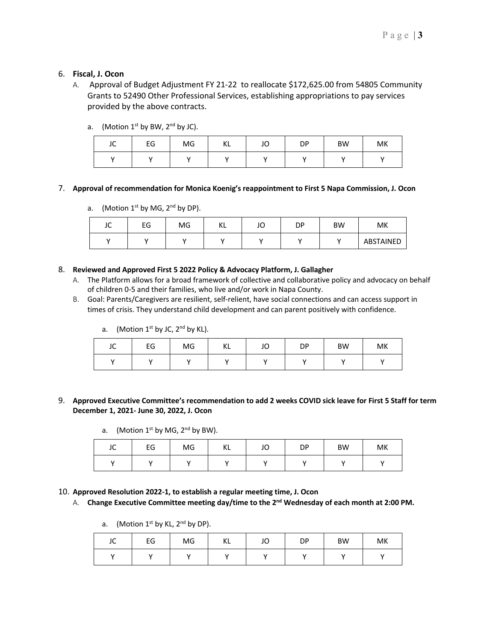# 6. **Fiscal, J. Ocon**

A. Approval of Budget Adjustment FY 21-22 to reallocate \$172,625.00 from 54805 Community Grants to 52490 Other Professional Services, establishing appropriations to pay services provided by the above contracts.

| JC | EG | MG | ΚL | JO                   | DP | <b>BW</b> | MK |
|----|----|----|----|----------------------|----|-----------|----|
|    |    |    |    | $\ddot{\phantom{1}}$ |    |           |    |

a. (Motion  $1^{st}$  by BW,  $2^{nd}$  by JC).

## 7. **Approval of recommendation for Monica Koenig's reappointment to First 5 Napa Commission, J. Ocon**

a. (Motion  $1^{st}$  by MG,  $2^{nd}$  by DP).

| JC | rr<br>tч | MG | IZ I<br>NL | JC | DΡ | <b>BW</b> | МK        |
|----|----------|----|------------|----|----|-----------|-----------|
|    |          |    |            |    |    |           | ABSTAINED |

- 8. **Reviewed and Approved First 5 2022 Policy & Advocacy Platform, J. Gallagher**
	- A. The Platform allows for a broad framework of collective and collaborative policy and advocacy on behalf of children 0-5 and their families, who live and/or work in Napa County.
	- B. Goal: Parents/Caregivers are resilient, self-relient, have social connections and can access support in times of crisis. They understand child development and can parent positively with confidence.
		- a. (Motion  $1^{st}$  by JC,  $2^{nd}$  by KL).

| $\sim$<br>JU | EG | MG | KL | JO | DP | BW | MK |
|--------------|----|----|----|----|----|----|----|
| . .          |    |    |    |    |    |    |    |

# 9. **Approved Executive Committee's recommendation to add 2 weeks COVID sick leave for First 5 Staff for term December 1, 2021- June 30, 2022, J. Ocon**

a. (Motion  $1<sup>st</sup>$  by MG,  $2<sup>nd</sup>$  by BW).

| $\sim$<br>ᄮ | EG | MG | M<br>NL. | $\overline{\phantom{a}}$<br>JU | DP | <b>BW</b> | MK |
|-------------|----|----|----------|--------------------------------|----|-----------|----|
| $\cdot$     |    |    | . .      |                                |    |           |    |

## 10. **Approved Resolution 2022-1, to establish a regular meeting time, J. Ocon**

A. **Change Executive Committee meeting day/time to the 2nd Wednesday of each month at 2:00 PM.** 

| JC | EG  | MG | ΚL | JO | DP | <b>BW</b> | MK |
|----|-----|----|----|----|----|-----------|----|
|    | . . |    |    |    |    |           |    |

a. (Motion  $1^{st}$  by KL,  $2^{nd}$  by DP).